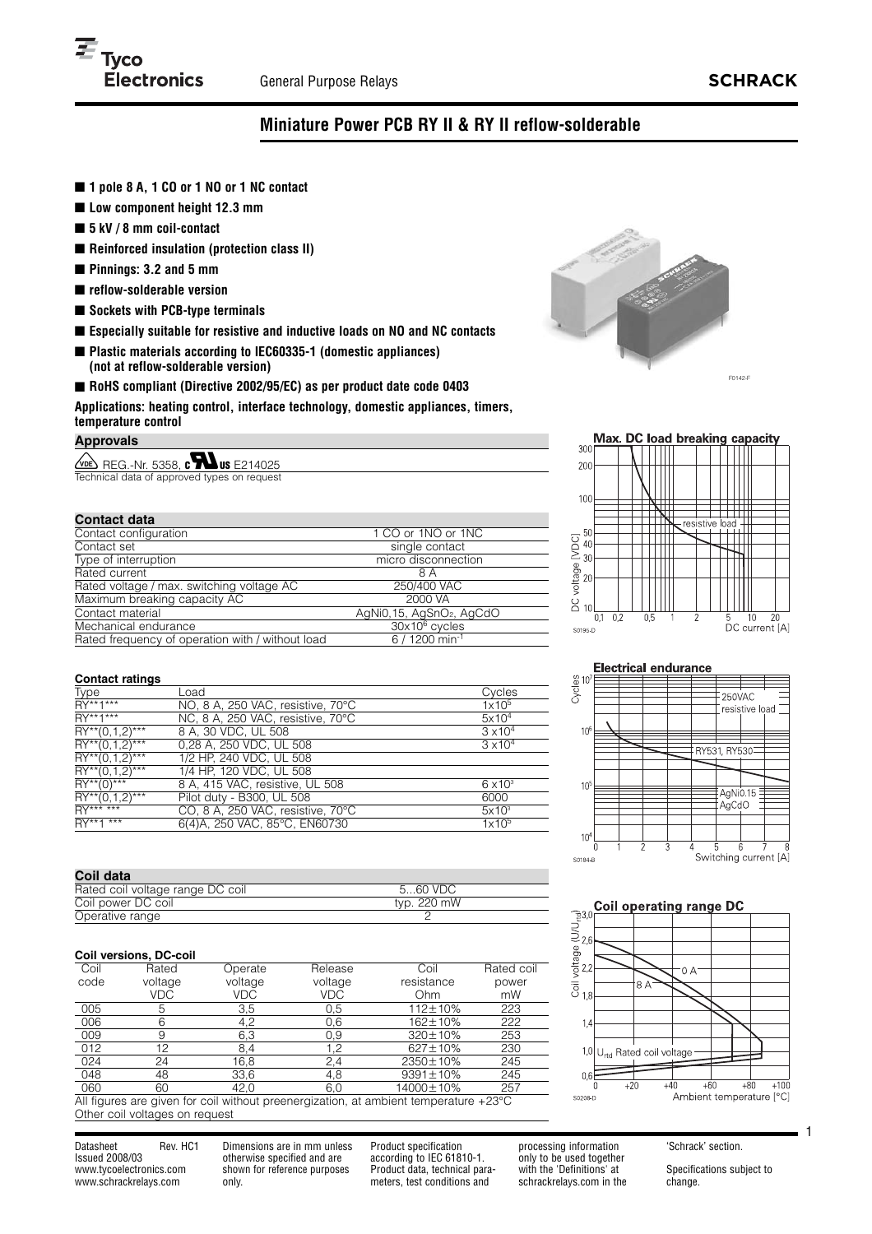

# **Miniature Power PCB RY II & RY II reflow-solderable**

- 1 pole 8 A, 1 CO or 1 NO or 1 NC contact
- Low component height 12.3 mm
- **5 kV / 8 mm coil-contact**
- **Reinforced insulation (protection class II)**
- **Pinnings: 3.2 and 5 mm**
- **reflow-solderable version**
- **Sockets with PCB-type terminals**
- **Especially suitable for resistive and inductive loads on NO and NC contacts**
- **Plastic materials according to IEC60335-1 (domestic appliances) (not at reflow-solderable version)**
- **RoHS** compliant (Directive 2002/95/EC) as per product date code 0403

**Applications: heating control, interface technology, domestic appliances, timers, temperature control**

**Approvals**

 $\sqrt{\text{me}}$  REG.-Nr. 5358,  $\text{c}$  M us E214025 Technical data of approved types on reque

| <b>Contact data</b>                              |                                      |
|--------------------------------------------------|--------------------------------------|
| Contact configuration                            | 1 CO or 1NO or 1NC                   |
| Contact set                                      | single contact                       |
| Type of interruption                             | micro disconnection                  |
| Rated current                                    | 8 A                                  |
| Rated voltage / max. switching voltage AC        | 250/400 VAC                          |
| Maximum breaking capacity AC                     | 2000 VA                              |
| Contact material                                 | AgNi0,15, AgSnO <sub>2</sub> , AgCdO |
| Mechanical endurance                             | $30x106$ cycles                      |
| Rated frequency of operation with / without load | 6 / 1200 min <sup>-1</sup>           |





250VAC resistive load

AgNi0.15 AgCdO

Switching current [A]

RY531 RY530

**Electrical endurance** 

 $rac{60}{C}$  10<sup>2</sup>

 $10$ 

 $10$ 

 $10$ 

S0184-B

### **Contact ratings**

| Gunlaut Talinyə      |                                   |                   |
|----------------------|-----------------------------------|-------------------|
| Type                 | Load                              | Cycles            |
| RY**1***             | NO, 8 A, 250 VAC, resistive, 70°C | 1x10 <sup>5</sup> |
| RY**1***             | NC, 8 A, 250 VAC, resistive, 70°C | 5x10 <sup>4</sup> |
| $RY^{**}(0,1,2)$ *** | 8 A, 30 VDC, UL 508               | $3 \times 10^{4}$ |
| $RY^{**}(0,1,2)$ *** | 0,28 A, 250 VDC, UL 508           | $3 \times 10^{4}$ |
| $RY^{**}(0,1,2)$ *** | 1/2 HP, 240 VDC, UL 508           |                   |
| $RY^{**}(0,1,2)$ *** | 1/4 HP, 120 VDC, UL 508           |                   |
| $RY^{**}(0)$ ***     | 8 A, 415 VAC, resistive, UL 508   | $6 \times 10^3$   |
| $RY^{**}(0,1,2)$ *** | Pilot duty - B300, UL 508         | 6000              |
| $RY******$           | CO, 8 A, 250 VAC, resistive, 70°C | $5x10^3$          |
| $RY^{**}1***$        | 6(4)A, 250 VAC, 85°C, EN60730     | 1x10 <sup>5</sup> |
|                      |                                   |                   |

| Coil data                        |             |
|----------------------------------|-------------|
| Rated coil voltage range DC coil | 560 VDC     |
| Coil power DC coil               | typ. 220 mW |
| Operative range                  |             |

### **Coil versions, DC-coil**

| Coil | Rated   | Operate | Release | Coil            | Rated coil |
|------|---------|---------|---------|-----------------|------------|
| code | voltage | voltage | voltage | resistance      | power      |
|      | VDC     | VDC     | VDC     | Ohm             | mW         |
| 005  | 5       | 3,5     | 0.5     | 112±10%         | 223        |
| 006  | 6       | 4.2     | 0,6     | 162±10%         | 222        |
| 009  | 9       | 6,3     | 0,9     | $320 \pm 10\%$  | 253        |
| 012  | 12      | 8,4     | 1.2     | $627 \pm 10\%$  | 230        |
| 024  | 24      | 16,8    | 2,4     | 2350±10%        | 245        |
| 048  | 48      | 33,6    | 4,8     | $9391 \pm 10\%$ | 245        |
| 060  | 60      | 42.0    | 6,0     | 14000±10%       | 257        |

All figures are given for coil without preenergization, at ambient temperature +23°C Other coil voltages on request

Datasheet Rev. HC1 Issued 2008/03 www.tycoelectronics.com www.schrackrelays.com

Dimensions are in mm unless otherwise specified and are shown for reference purposes only.

Product specification according to IEC 61810-1. Product data, technical parameters, test conditions and

processing information only to be used together with the 'Definitions' at schrackrelays.com in the 'Schrack' section.

Specifications subject to change.

1

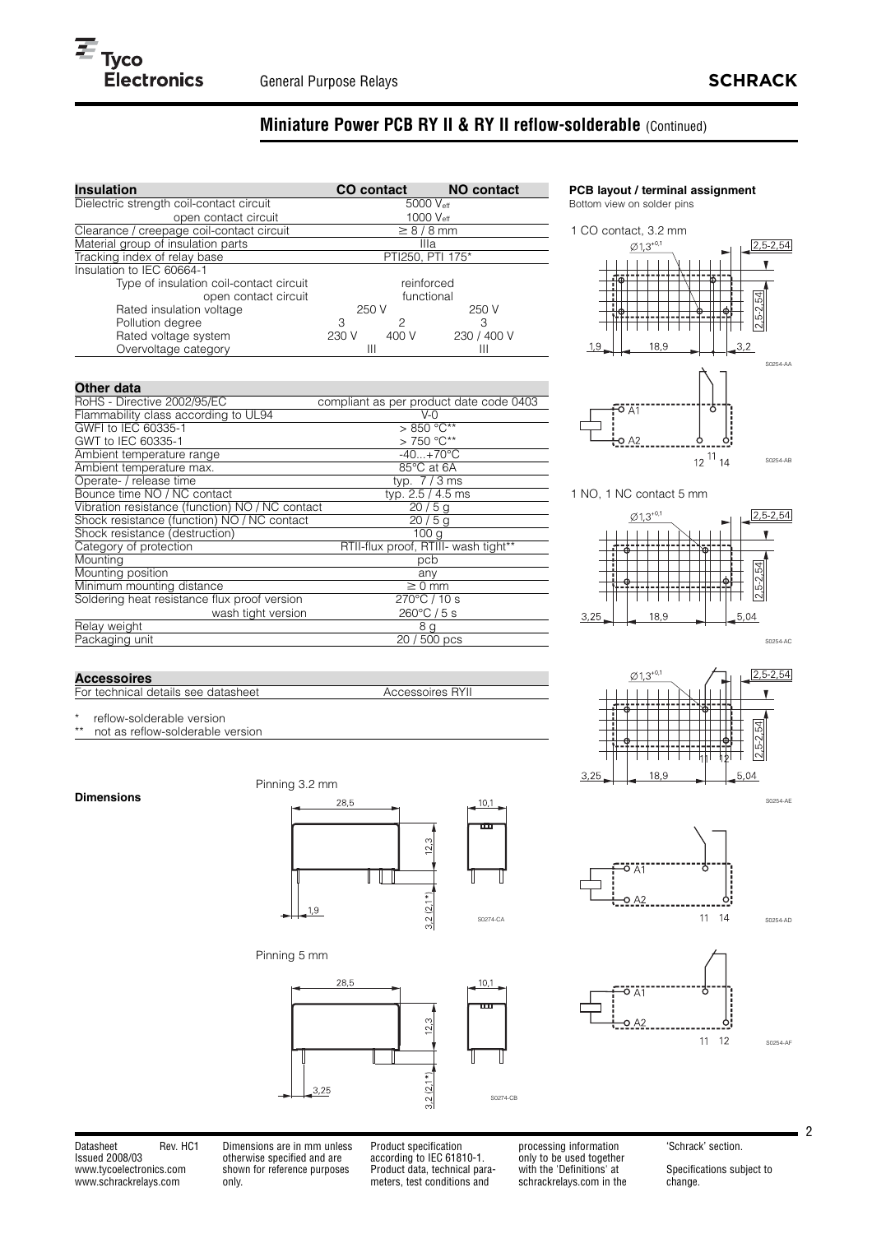# **Miniature Power PCB RY II & RY II reflow-solderable** (Continued)

| <b>Insulation</b>                         |                  | <b>CO</b> contact | <b>NO contact</b> |  |  |
|-------------------------------------------|------------------|-------------------|-------------------|--|--|
| Dielectric strength coil-contact circuit  |                  | 5000 Veff         |                   |  |  |
| open contact circuit                      | 1000 Veff        |                   |                   |  |  |
| Clearance / creepage coil-contact circuit |                  | $\geq 8/8$ mm     |                   |  |  |
| Material group of insulation parts        | Illa             |                   |                   |  |  |
| Tracking index of relay base              | PTI250, PTI 175* |                   |                   |  |  |
| Insulation to IEC 60664-1                 |                  |                   |                   |  |  |
| Type of insulation coil-contact circuit   | reinforced       |                   |                   |  |  |
| open contact circuit                      | functional       |                   |                   |  |  |
| Rated insulation voltage                  | 250 V<br>250 V   |                   |                   |  |  |
| Pollution degree                          | 3                | 2                 | 3                 |  |  |
| Rated voltage system                      | 230 V            | 400 V             | 230 / 400 V       |  |  |
| Overvoltage category                      | Ш                |                   |                   |  |  |

### **Other data**

| RoHS - Directive 2002/95/EC                     | compliant as per product date code 0403 |
|-------------------------------------------------|-----------------------------------------|
| Flammability class according to UL94            | $V-0$                                   |
| GWFI to IEC 60335-1                             | $>850^{\circ}$ C**                      |
| GWT to IEC 60335-1                              | $> 750 °C**$                            |
| Ambient temperature range                       | $-40+70$ °C                             |
| Ambient temperature max.                        | 85°C at 6A                              |
| Operate- / release time                         | typ. $7/3$ ms                           |
| Bounce time NO / NC contact                     | typ. 2.5 / 4.5 ms                       |
| Vibration resistance (function) NO / NC contact | 20/5g                                   |
| Shock resistance (function) NO / NC contact     | 20/5q                                   |
| Shock resistance (destruction)                  | 100 <sub>q</sub>                        |
| Category of protection                          | RTII-flux proof, RTIII- wash tight**    |
| Mounting                                        | pcb                                     |
| Mounting position                               | any                                     |
| Minimum mounting distance                       | $\geq 0$ mm                             |
| Soldering heat resistance flux proof version    | $270^{\circ}$ C / 10 s                  |
| wash tight version                              | $260^{\circ}$ C / 5 s                   |
| Relay weight                                    | 8 <u>g</u>                              |
| Packaging unit                                  | 20 / 500 pcs                            |
|                                                 |                                         |

### **PCB layout / terminal assignment**

Bottom view on solder pins



1 NO, 1 NC contact 5 mm



# **Accessoires**

For technical details see datasheet Accessoires RYII

\* reflow-solderable version<br>\*\* pot as reflow-solderable \

not as reflow-solderable version

### **Dimensions**



Pinning 3.2 mm



Pinning 5 mm



only to be used together with the 'Definitions' at schrackrelays.com in the 'Schrack' section.

Specifications subject to change.

2

ö7  $O$  A<sub>2</sub> S0274-CA

 $10,1$ 

 $3,25$ 



5,04

 $2,5 - 2,54$ 

 $\mathbf{v}$ 

S0254-AD

S0254-AF



 $+0.1$ 

 $189$ 

 $\emptyset$ 1.3



Datasheet Rev. HC1 Issued 2008/03 www.tycoelectronics.com www.schrackrelays.com

Dimensions are in mm unless otherwise specified and are shown for reference purposes only.

Product specification according to IEC 61810-1. Product data, technical parameters, test conditions and

processing information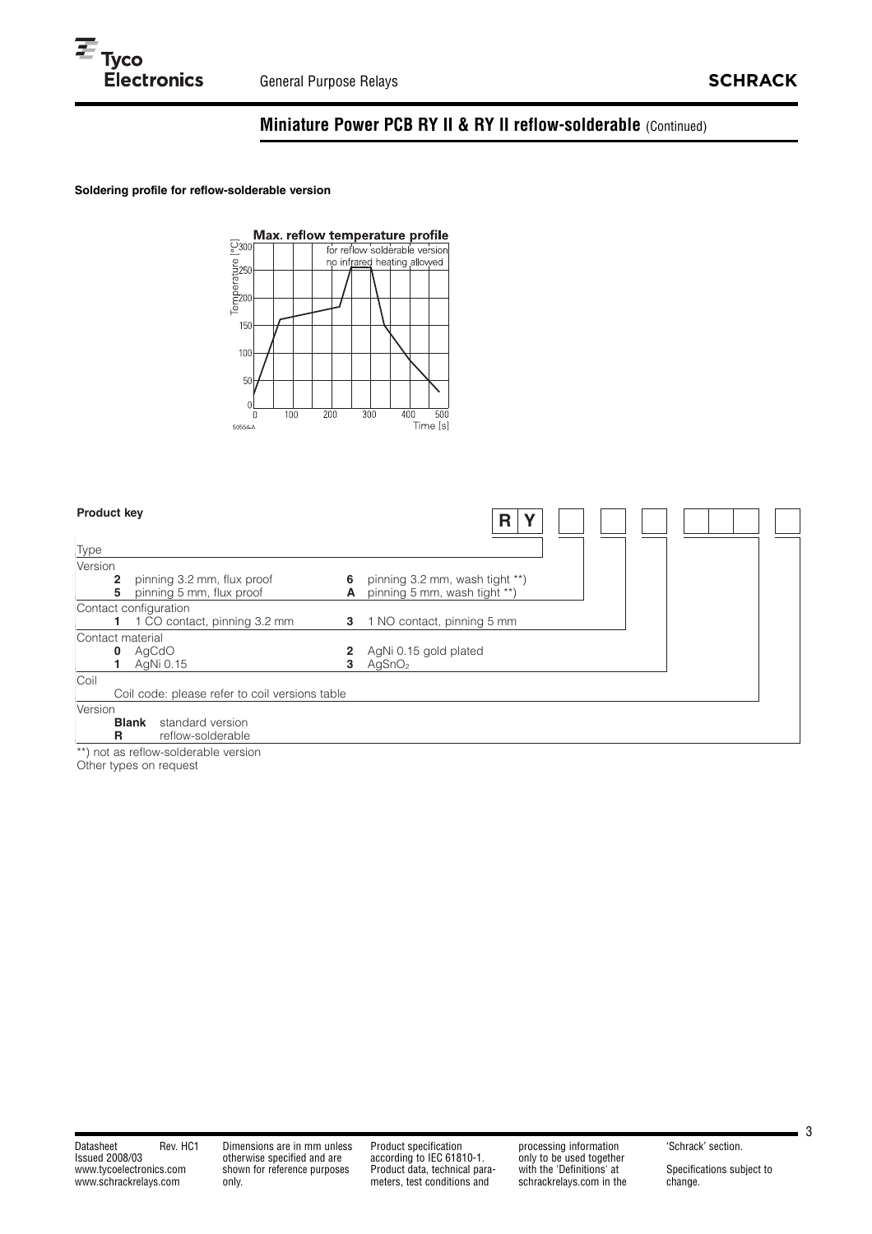# **Miniature Power PCB RY II & RY II reflow-solderable** (Continued)

## **Soldering profile for reflow-solderable version**



|         | <b>Product key</b> |                                                        |        | R                                                              |  |  |  |
|---------|--------------------|--------------------------------------------------------|--------|----------------------------------------------------------------|--|--|--|
| Type    |                    |                                                        |        |                                                                |  |  |  |
| Version |                    |                                                        |        |                                                                |  |  |  |
|         | 2<br>5             | pinning 3.2 mm, flux proof<br>pinning 5 mm, flux proof | 6<br>А | pinning 3.2 mm, wash tight **)<br>pinning 5 mm, wash tight **) |  |  |  |
|         |                    | Contact configuration                                  |        |                                                                |  |  |  |
|         |                    | 1 CO contact, pinning 3.2 mm                           | 3      | 1 NO contact, pinning 5 mm                                     |  |  |  |
|         | Contact material   |                                                        |        |                                                                |  |  |  |
|         | 0                  | AgCdO                                                  |        | AgNi 0.15 gold plated                                          |  |  |  |
|         |                    | AgNi 0.15                                              | 3      | AgSnO <sub>2</sub>                                             |  |  |  |
| Coil    |                    |                                                        |        |                                                                |  |  |  |
|         |                    | Coil code: please refer to coil versions table         |        |                                                                |  |  |  |
| Version |                    |                                                        |        |                                                                |  |  |  |
|         | <b>Blank</b><br>R  | standard version<br>reflow-solderable                  |        |                                                                |  |  |  |

\*\*) not as reflow-solderable version

Other types on request

 $\blacksquare$  3